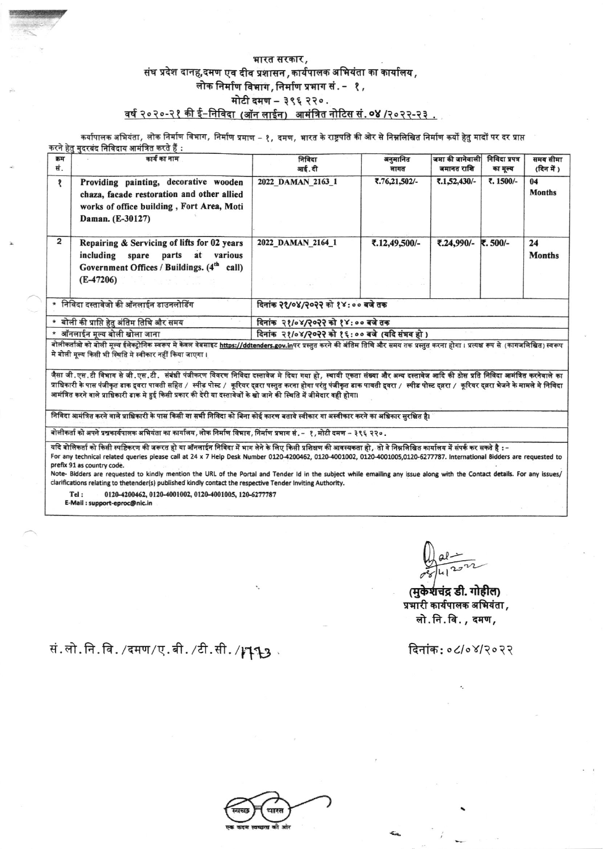## भारत सरकार*,* संघ प्रदेश दानह,दमण एव दीव प्रशासन , कार्यपालक अभियंता का कार्यालय , लोक निर्माण विभाग, निर्माण प्रभाग सं. - १, मोटी दमण - ३९६ २२०. वर्ष २०२०-२१ की ई-निविदा (ऑन लाईन) आमंत्रित नोटिस सं. ०४ /२०२२-२३.

कर्यापालक अभियंता, लोक निर्माण विभाग, निर्माण प्रमाण – १, दमण, भारत के राष्ट्रपति की ओर से निम्नलिखित निर्माण कर्यो हेतु मादों पर दर प्राप्त करने हेत मदरबंद निविदाय आमंत्रित करते हैं :

| क्रम<br>सं.                               | कार्य का नाम                                                                                                                                         | निविदा<br>आई. दी                             | अनुमानित<br>लागत | जमा की जानेवाली<br>जमानत राशि | निविदा प्रपत्र<br>का मूल्य | समय सीमा<br>(दिन में ) |  |  |
|-------------------------------------------|------------------------------------------------------------------------------------------------------------------------------------------------------|----------------------------------------------|------------------|-------------------------------|----------------------------|------------------------|--|--|
|                                           | Providing painting, decorative wooden<br>chaza, facade restoration and other allied<br>works of office building, Fort Area, Moti<br>Daman. (E-30127) | 2022 DAMAN 2163 1                            | ₹.76,21,502/-    | ₹.1,52,430/-                  | ₹. 1500/-                  | 04<br><b>Months</b>    |  |  |
| $\overline{2}$                            | Repairing & Servicing of lifts for 02 years<br>including spare parts at various<br>Government Offices / Buildings. (4 <sup>th</sup> call)            | 2022 DAMAN 2164_1                            | ₹.12,49,500/-    | ₹.24,990/-                    | ₹.500/-                    | 24<br><b>Months</b>    |  |  |
|                                           | $(E-47206)$                                                                                                                                          |                                              |                  |                               |                            |                        |  |  |
| * निविदा दस्तावेजो की ऑनलाईन डाउनलोडिंग   |                                                                                                                                                      | दिनांक २१/०४/२०२२ को १४:०० बजे तक            |                  |                               |                            |                        |  |  |
| * बोली की प्राप्ति हेतु अंतिम तिथि और समय |                                                                                                                                                      | दिनांक २१/०४/२०२२ को १४:०० बजे तक            |                  |                               |                            |                        |  |  |
| * ऑनलाईन मूल्य बोली खोला जाना             |                                                                                                                                                      | दिनांक २१/०४/२०२२ को १६:०० बजे (यदि संभव हो) |                  |                               |                            |                        |  |  |

बोलीकर्ताओ को बोली मूल्य ईलेक्ट्रोनिक स्वरूप मे केवल वेबसाइट <u>https://ddtenders.gov.in</u>पर प्रस्तुत करने की अंतिम तिथि और समय तक प्रस्तुत करना होगा । प्रत्यक्ष रूप से (कागजलिखित) स्वरूप मे बोली मूल्य किसी भी स्थिति मे स्वीकार नहीं किया जाएगा।

.<br>जैसा जी.एस.टी विभाग से जी.एस.टी. संबंधी पंजीकरण विवरण निविदा दस्तावेज मे दिया गया हो*, स्थायी ए*कता संख्या और अन्य दस्तावेज आदि की ठोस प्रति निविदा आमंत्रित करनेवाले का प्राधिकारी के पास पंजीकृत डाक दूवरा पावती सहित / *स्*नीड पोस्ट / कूरियर द्वरा पस्तुत करना होगा परंतु पंजीकृत डाक पावती द्वरा / *स्*नीड पोस्ट द्वरा / कूरियर द्वरा भेजने के मामले मे निविदा आमंत्रित करने वाले प्राधिकारी डाक मे हुई किसी प्रकार की देरी या दस्तावेजों के खो जाने की स्थिति में जीमेदार वही होगा।

निविदा आमंत्रित करने वाले प्राधिकारी के पास किसी या सभी निविदा को बिना कोई कारण बताये स्वीकार या अस्वीकार करने का अधिकार सुरक्षित है।

बोलीकर्ता को अपने प्रश्नकार्यपालक अभियंता का कार्यालय, लोक निर्माण विभाग, निर्माण प्रभाग सं. – १, मोटी दमण – ३९६ २२० .

- यदि बोलिकर्ता को किसी स्पष्टिकरण की जरूरत हो या ऑनलाईन निविदा में भाग लेने के लिए किसी प्रशिक्षण की आवस्यकता हो, तो वे निम्नलिखित कार्यालय में संपर्क कर सकते है :-For any technical related queries please call at 24 x 7 Help Desk Number 0120-4200462, 0120-4001002, 0120-4001005,0120-6277787. International Bidders are requested to prefix 91 as country code.

Note- Bidders are requested to kindly mention the URL of the Portal and Tender Id in the subject while emailing any issue along with the Contact details. For any issues/ clarifications relating to thetender(s) published kindly contact the respective Tender Inviting Authority.

0120-4200462, 0120-4001002, 0120-4001005, 120-6277787 Tel:

E-Mail: support-eproc@nic.in

(मुकेशचंद्र डी. गोहील) प्रभारी कार्यपालक अभियंता, लो.नि.वि., दमण,

दिनांक:०८/०४/२०२२

सं.लो.नि.वि./दमण/ए.बी./टी.सी.//193